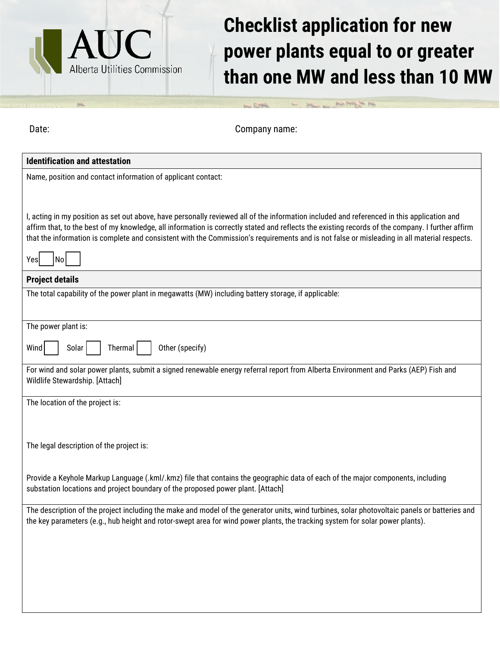

## **Checklist application for new power plants equal to or greater than one MW and less than 10 MW**

the factors are the property and their property the page

| Date:                                                             | Company name:                                                                                                                                                                                                                                                                                                                                                                                                                                 |
|-------------------------------------------------------------------|-----------------------------------------------------------------------------------------------------------------------------------------------------------------------------------------------------------------------------------------------------------------------------------------------------------------------------------------------------------------------------------------------------------------------------------------------|
| <b>Identification and attestation</b>                             |                                                                                                                                                                                                                                                                                                                                                                                                                                               |
| Name, position and contact information of applicant contact:      |                                                                                                                                                                                                                                                                                                                                                                                                                                               |
| Yes<br>No                                                         | I, acting in my position as set out above, have personally reviewed all of the information included and referenced in this application and<br>affirm that, to the best of my knowledge, all information is correctly stated and reflects the existing records of the company. I further affirm<br>that the information is complete and consistent with the Commission's requirements and is not false or misleading in all material respects. |
| <b>Project details</b>                                            |                                                                                                                                                                                                                                                                                                                                                                                                                                               |
|                                                                   | The total capability of the power plant in megawatts (MW) including battery storage, if applicable:                                                                                                                                                                                                                                                                                                                                           |
| The power plant is:<br>Wind<br>Solar<br>Thermal                   | Other (specify)<br>For wind and solar power plants, submit a signed renewable energy referral report from Alberta Environment and Parks (AEP) Fish and                                                                                                                                                                                                                                                                                        |
| Wildlife Stewardship. [Attach]<br>The location of the project is: |                                                                                                                                                                                                                                                                                                                                                                                                                                               |
| The legal description of the project is:                          |                                                                                                                                                                                                                                                                                                                                                                                                                                               |
|                                                                   | Provide a Keyhole Markup Language (.kml/.kmz) file that contains the geographic data of each of the major components, including<br>substation locations and project boundary of the proposed power plant. [Attach]                                                                                                                                                                                                                            |
|                                                                   | The description of the project including the make and model of the generator units, wind turbines, solar photovoltaic panels or batteries and<br>the key parameters (e.g., hub height and rotor-swept area for wind power plants, the tracking system for solar power plants).                                                                                                                                                                |
|                                                                   |                                                                                                                                                                                                                                                                                                                                                                                                                                               |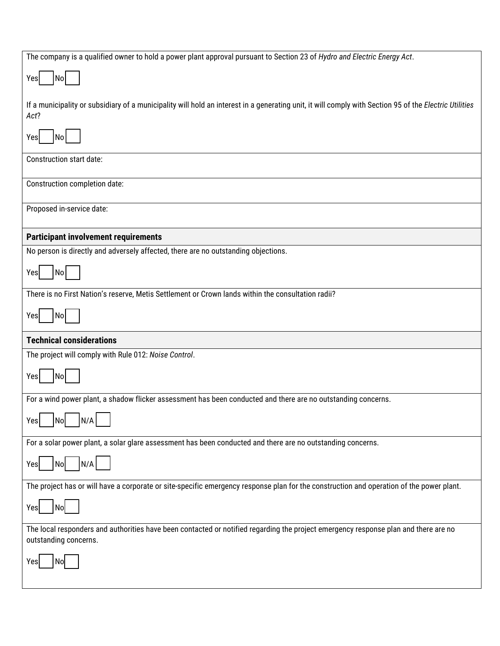| The company is a qualified owner to hold a power plant approval pursuant to Section 23 of Hydro and Electric Energy Act.                                       |  |  |
|----------------------------------------------------------------------------------------------------------------------------------------------------------------|--|--|
| $\overline{\phantom{a}}$ No $\overline{\phantom{a}}$<br>Yes                                                                                                    |  |  |
| If a municipality or subsidiary of a municipality will hold an interest in a generating unit, it will comply with Section 95 of the Electric Utilities<br>Act? |  |  |
| No<br>Yes                                                                                                                                                      |  |  |
| Construction start date:                                                                                                                                       |  |  |
| Construction completion date:                                                                                                                                  |  |  |
| Proposed in-service date:                                                                                                                                      |  |  |
| <b>Participant involvement requirements</b>                                                                                                                    |  |  |
| No person is directly and adversely affected, there are no outstanding objections.                                                                             |  |  |
| No<br>Yes                                                                                                                                                      |  |  |
| There is no First Nation's reserve, Metis Settlement or Crown lands within the consultation radii?                                                             |  |  |
| No<br>Yes                                                                                                                                                      |  |  |
| <b>Technical considerations</b>                                                                                                                                |  |  |
| The project will comply with Rule 012: Noise Control.                                                                                                          |  |  |
| <b>No</b><br>Yes                                                                                                                                               |  |  |
| For a wind power plant, a shadow flicker assessment has been conducted and there are no outstanding concerns.                                                  |  |  |
| $\Box$ $\Box$<br>N/A<br>Yes<br>No                                                                                                                              |  |  |
| For a solar power plant, a solar glare assessment has been conducted and there are no outstanding concerns.                                                    |  |  |
| N/A<br>No<br>Yes                                                                                                                                               |  |  |
| The project has or will have a corporate or site-specific emergency response plan for the construction and operation of the power plant.                       |  |  |
| No<br>Yes                                                                                                                                                      |  |  |
| The local responders and authorities have been contacted or notified regarding the project emergency response plan and there are no<br>outstanding concerns.   |  |  |
| No<br>Yes                                                                                                                                                      |  |  |
|                                                                                                                                                                |  |  |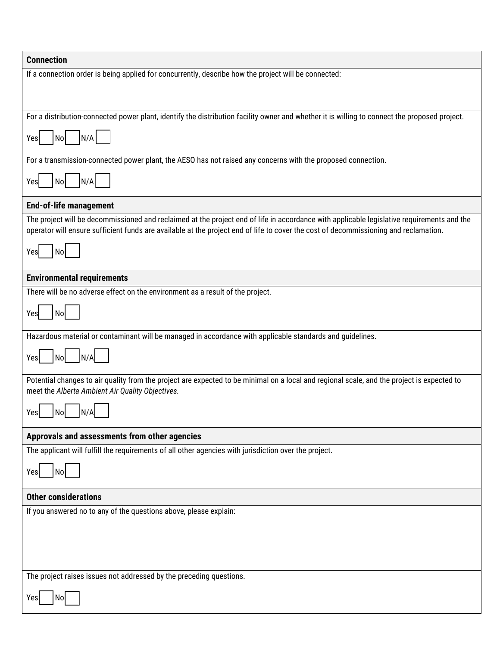| <b>Connection</b>                                                                                                                                                                                                                                                                  |  |
|------------------------------------------------------------------------------------------------------------------------------------------------------------------------------------------------------------------------------------------------------------------------------------|--|
| If a connection order is being applied for concurrently, describe how the project will be connected:                                                                                                                                                                               |  |
| For a distribution-connected power plant, identify the distribution facility owner and whether it is willing to connect the proposed project.                                                                                                                                      |  |
| N/A<br>No<br>Yesl                                                                                                                                                                                                                                                                  |  |
| For a transmission-connected power plant, the AESO has not raised any concerns with the proposed connection.                                                                                                                                                                       |  |
| N/A<br>No<br>Yes                                                                                                                                                                                                                                                                   |  |
| <b>End-of-life management</b>                                                                                                                                                                                                                                                      |  |
| The project will be decommissioned and reclaimed at the project end of life in accordance with applicable legislative requirements and the<br>operator will ensure sufficient funds are available at the project end of life to cover the cost of decommissioning and reclamation. |  |
| <b>No</b><br>Yesl                                                                                                                                                                                                                                                                  |  |
| <b>Environmental requirements</b>                                                                                                                                                                                                                                                  |  |
| There will be no adverse effect on the environment as a result of the project.                                                                                                                                                                                                     |  |
| No<br>Yes                                                                                                                                                                                                                                                                          |  |
| Hazardous material or contaminant will be managed in accordance with applicable standards and guidelines.                                                                                                                                                                          |  |
| N/A<br>Nol<br>Yes                                                                                                                                                                                                                                                                  |  |
| Potential changes to air quality from the project are expected to be minimal on a local and regional scale, and the project is expected to<br>meet the Alberta Ambient Air Quality Objectives.                                                                                     |  |
| N/A<br>No<br>Yesl                                                                                                                                                                                                                                                                  |  |
| Approvals and assessments from other agencies                                                                                                                                                                                                                                      |  |
| The applicant will fulfill the requirements of all other agencies with jurisdiction over the project.                                                                                                                                                                              |  |
| N٥<br>Yes                                                                                                                                                                                                                                                                          |  |
| <b>Other considerations</b>                                                                                                                                                                                                                                                        |  |
| If you answered no to any of the questions above, please explain:                                                                                                                                                                                                                  |  |
|                                                                                                                                                                                                                                                                                    |  |
|                                                                                                                                                                                                                                                                                    |  |
|                                                                                                                                                                                                                                                                                    |  |
| The project raises issues not addressed by the preceding questions.                                                                                                                                                                                                                |  |
| No                                                                                                                                                                                                                                                                                 |  |